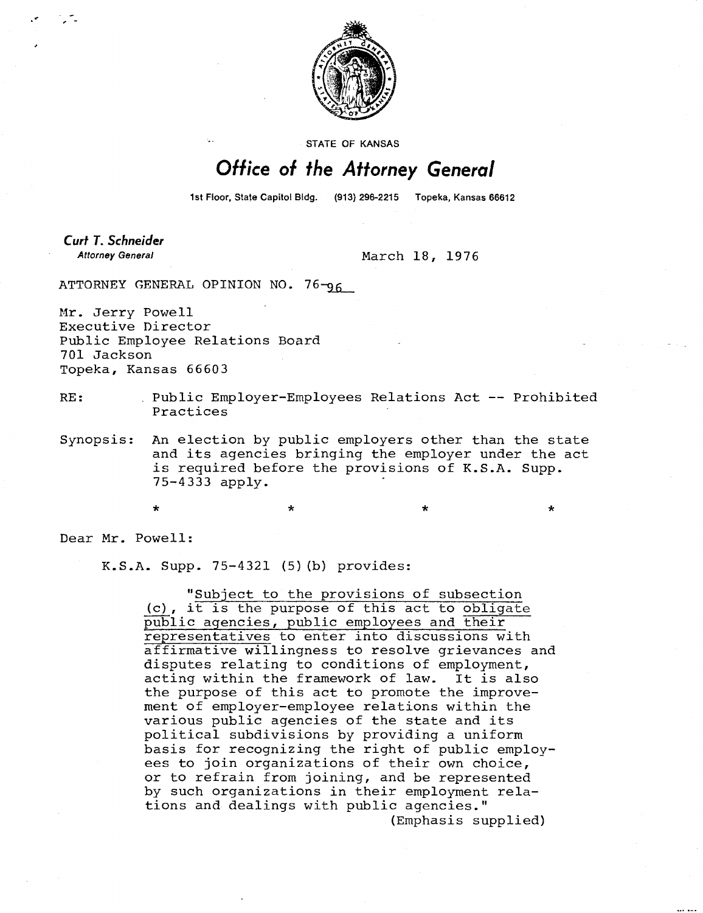

STATE OF KANSAS

## Office of the Attorney General

1st Floor, State Capitol Bldg. (913) 296-2215 Topeka, Kansas 66612

\* \*

**Curt T. Schneider Attorney General** 

March 18, 1976

ATTORNEY GENERAL OPINION NO. 76-96

Mr. Jerry Powell Executive Director Public Employee Relations Board 701 Jackson Topeka, Kansas 66603

- RE: Public Employer-Employees Relations Act -- Prohibited Practices
- Synopsis: An election by public employers other than the state and its agencies bringing the employer under the act is required before the provisions of K.S.A. Supp. 75-4333 apply.

÷

Dear Mr. Powell:

K.S.A. Supp. 75-4321 (5)(b) provides:

"Subject to the provisions of subsection (c), it is the purpose of this act to obligate public agencies, public employees and their representatives to enter into discussions with affirmative willingness to resolve grievances and disputes relating to conditions of employment, acting within the framework of law. It is also the purpose of this act to promote the improvement of employer-employee relations within the various public agencies of the state and its political subdivisions by providing a uniform basis for recognizing the right of public employees to join organizations of their own choice, or to refrain from joining, and be represented by such organizations in their employment relations and dealings with public agencies." (Emphasis supplied)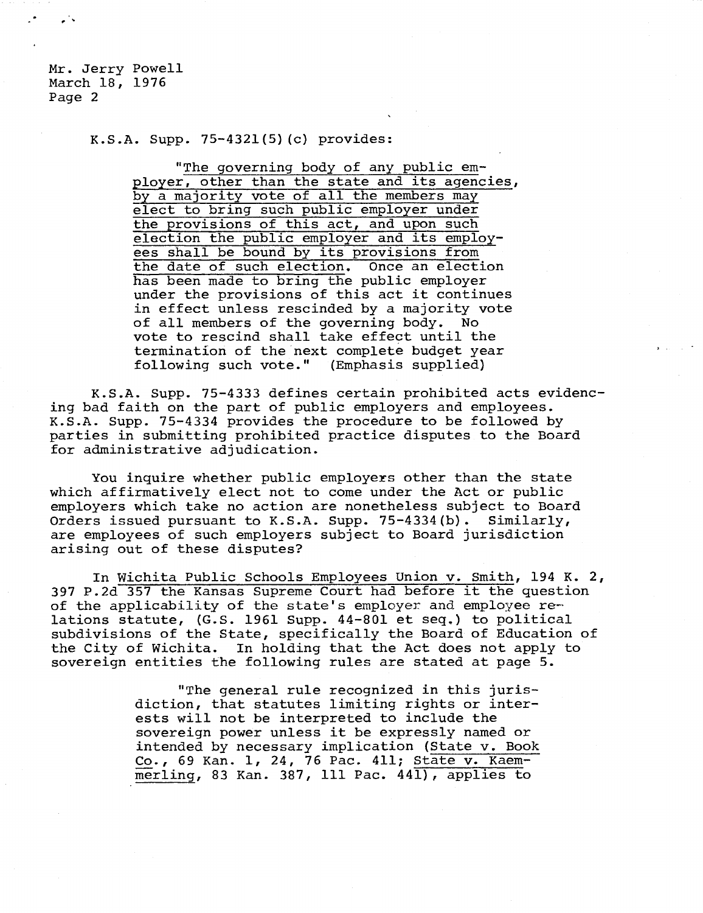Mr. Jerry Powell March 18, 1976 Page 2

K.S.A. Supp. 75-4321(5)(c) provides:

"The governing body of any public employer, other than the state and its agencies, by a majority vote of all the members may elect to bring such public employer under the provisions of this act, and upon such election the public employer and its employees shall be bound by its provisions from the date of such election. Once an election has been made to bring the public employer under the provisions of this act it continues in effect unless rescinded by a majority vote of all members of the governing body. No vote to rescind shall take effect until the termination of the next complete budget year following such vote." (Emphasis supplied)

K.S.A. Supp. 75-4333 defines certain prohibited acts evidencing bad faith on the part of public employers and employees. K.S.A. Supp. 75-4334 provides the procedure to be followed by parties in submitting prohibited practice disputes to the Board for administrative adjudication.

You inquire whether public employers other than the state which affirmatively elect not to come under the Act or public employers which take no action are nonetheless subject to Board Orders issued pursuant to K.S.A. Supp. 75-4334(b). Similarly, are employees of such employers subject to Board jurisdiction arising out of these disputes?

In Wichita Public Schools Employees Union v. Smith, 194 K. 2, 397 P.2d 357 the Kansas Supreme Court had before it the question of the applicability of the state's employer and employee relations statute, (G.S. 1961 Supp. 44-801 et seq.) to political subdivisions of the State, specifically the Board of Education of the City of Wichita. In holding that the Act does not apply to sovereign entities the following rules are stated at page 5.

> "The general rule recognized in this jurisdiction, that statutes limiting rights or interests will not be interpreted to include the sovereign power unless it be expressly named or intended by necessary implication (State v. Book Co., 69 Kan. 1, 24, 76 Pac. 411; State v. Kaemmerling, 83 Kan. 387, ill Pac. 441), applies to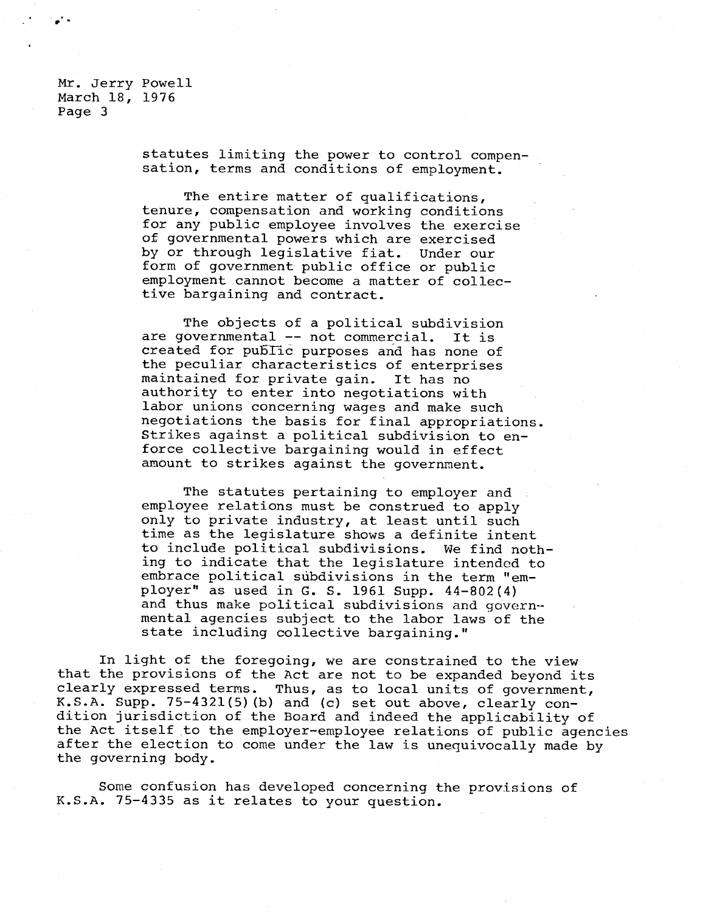Mr. Jerry Powell March 18, 1976 Page 3

> statutes limiting the power to control compensation, terms and conditions of employment.

The entire matter of qualifications, tenure, compensation and working conditions for any public employee involves the exercise of governmental powers which are exercised by or through legislative fiat. Under our form of government public office or public employment cannot become a matter of collective bargaining and contract.

The objects of a political subdivision are governmental -- not commercial. It is created for public purposes and has none of the peculiar characteristics of enterprises maintained for private gain. It has no authority to enter into negotiations with labor unions concerning wages and make such negotiations the basis for final appropriations. Strikes against a political subdivision to enforce collective bargaining would in effect amount to strikes against the government.

The statutes pertaining to employer and employee relations must be construed to apply only to private industry, at least until such time as the legislature shows a definite intent to include political subdivisions. We find nothing to indicate that the legislature intended to embrace political subdivisions in the term "employer" as used in G. S. 1961 Supp. 44-802(4) and thus make political subdivisions and governmental agencies subject to the labor laws of the state including collective bargaining."

In light of the foregoing, we are constrained to the view that the provisions of the Act are not to be expanded beyond its clearly expressed terms. Thus, as to local units of government, K.S.A. Supp. 75-4321(5)(b) and (c) set out above, clearly condition jurisdiction of the Board and indeed the applicability of the Act itself to the employer-employee relations of public agencies after the election to come under the law is unequivocally made by the governing body.

Some confusion has developed concerning the provisions of K.S.A. 75-4335 as it relates to your question.